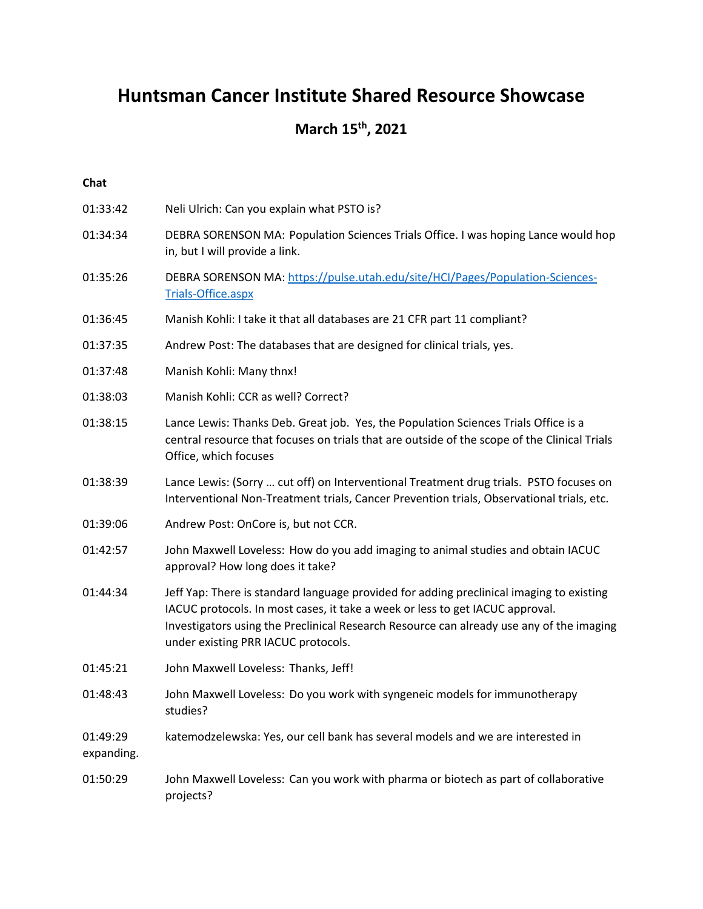## **Huntsman Cancer Institute Shared Resource Showcase**

## **March 15th, 2021**

## **Chat**

| 01:33:42               | Neli Ulrich: Can you explain what PSTO is?                                                                                                                                                                                                                                                                   |
|------------------------|--------------------------------------------------------------------------------------------------------------------------------------------------------------------------------------------------------------------------------------------------------------------------------------------------------------|
| 01:34:34               | DEBRA SORENSON MA: Population Sciences Trials Office. I was hoping Lance would hop<br>in, but I will provide a link.                                                                                                                                                                                         |
| 01:35:26               | DEBRA SORENSON MA: https://pulse.utah.edu/site/HCI/Pages/Population-Sciences-<br><b>Trials-Office.aspx</b>                                                                                                                                                                                                   |
| 01:36:45               | Manish Kohli: I take it that all databases are 21 CFR part 11 compliant?                                                                                                                                                                                                                                     |
| 01:37:35               | Andrew Post: The databases that are designed for clinical trials, yes.                                                                                                                                                                                                                                       |
| 01:37:48               | Manish Kohli: Many thnx!                                                                                                                                                                                                                                                                                     |
| 01:38:03               | Manish Kohli: CCR as well? Correct?                                                                                                                                                                                                                                                                          |
| 01:38:15               | Lance Lewis: Thanks Deb. Great job. Yes, the Population Sciences Trials Office is a<br>central resource that focuses on trials that are outside of the scope of the Clinical Trials<br>Office, which focuses                                                                                                 |
| 01:38:39               | Lance Lewis: (Sorry  cut off) on Interventional Treatment drug trials. PSTO focuses on<br>Interventional Non-Treatment trials, Cancer Prevention trials, Observational trials, etc.                                                                                                                          |
| 01:39:06               | Andrew Post: OnCore is, but not CCR.                                                                                                                                                                                                                                                                         |
| 01:42:57               | John Maxwell Loveless: How do you add imaging to animal studies and obtain IACUC<br>approval? How long does it take?                                                                                                                                                                                         |
| 01:44:34               | Jeff Yap: There is standard language provided for adding preclinical imaging to existing<br>IACUC protocols. In most cases, it take a week or less to get IACUC approval.<br>Investigators using the Preclinical Research Resource can already use any of the imaging<br>under existing PRR IACUC protocols. |
| 01:45:21               | John Maxwell Loveless: Thanks, Jeff!                                                                                                                                                                                                                                                                         |
| 01:48:43               | John Maxwell Loveless: Do you work with syngeneic models for immunotherapy<br>studies?                                                                                                                                                                                                                       |
| 01:49:29<br>expanding. | katemodzelewska: Yes, our cell bank has several models and we are interested in                                                                                                                                                                                                                              |
| 01:50:29               | John Maxwell Loveless: Can you work with pharma or biotech as part of collaborative<br>projects?                                                                                                                                                                                                             |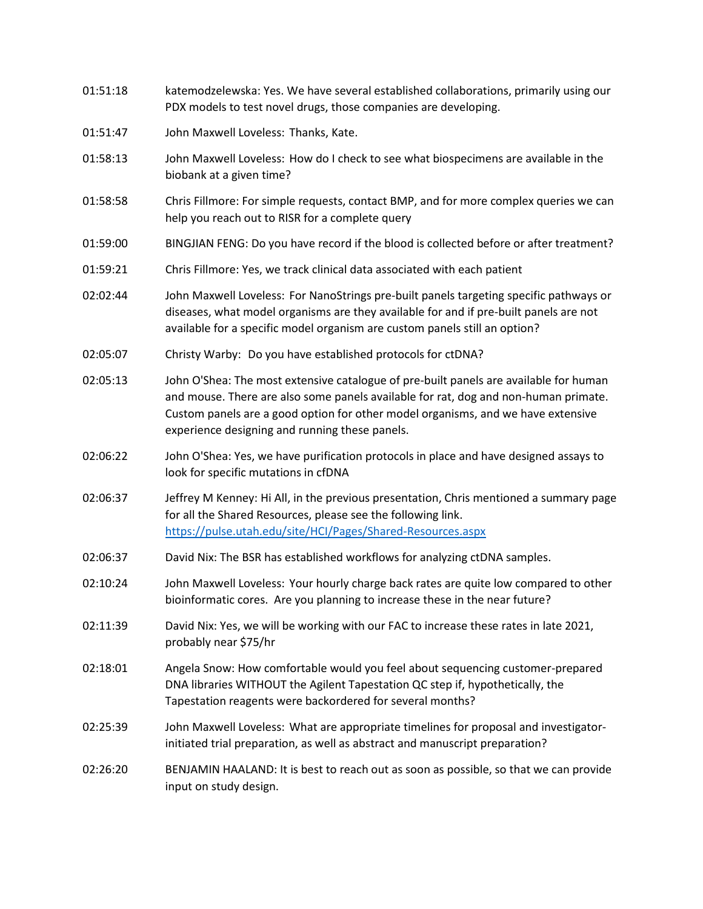- 01:51:18 katemodzelewska: Yes. We have several established collaborations, primarily using our PDX models to test novel drugs, those companies are developing.
- 01:51:47 John Maxwell Loveless: Thanks, Kate.
- 01:58:13 John Maxwell Loveless: How do I check to see what biospecimens are available in the biobank at a given time?
- 01:58:58 Chris Fillmore: For simple requests, contact BMP, and for more complex queries we can help you reach out to RISR for a complete query
- 01:59:00 BINGJIAN FENG: Do you have record if the blood is collected before or after treatment?
- 01:59:21 Chris Fillmore: Yes, we track clinical data associated with each patient
- 02:02:44 John Maxwell Loveless: For NanoStrings pre-built panels targeting specific pathways or diseases, what model organisms are they available for and if pre-built panels are not available for a specific model organism are custom panels still an option?
- 02:05:07 Christy Warby: Do you have established protocols for ctDNA?
- 02:05:13 John O'Shea: The most extensive catalogue of pre-built panels are available for human and mouse. There are also some panels available for rat, dog and non-human primate. Custom panels are a good option for other model organisms, and we have extensive experience designing and running these panels.
- 02:06:22 John O'Shea: Yes, we have purification protocols in place and have designed assays to look for specific mutations in cfDNA
- 02:06:37 Jeffrey M Kenney: Hi All, in the previous presentation, Chris mentioned a summary page for all the Shared Resources, please see the following link. <https://pulse.utah.edu/site/HCI/Pages/Shared-Resources.aspx>
- 02:06:37 David Nix: The BSR has established workflows for analyzing ctDNA samples.
- 02:10:24 John Maxwell Loveless: Your hourly charge back rates are quite low compared to other bioinformatic cores. Are you planning to increase these in the near future?
- 02:11:39 David Nix: Yes, we will be working with our FAC to increase these rates in late 2021, probably near \$75/hr
- 02:18:01 Angela Snow: How comfortable would you feel about sequencing customer-prepared DNA libraries WITHOUT the Agilent Tapestation QC step if, hypothetically, the Tapestation reagents were backordered for several months?
- 02:25:39 John Maxwell Loveless: What are appropriate timelines for proposal and investigatorinitiated trial preparation, as well as abstract and manuscript preparation?
- 02:26:20 BENJAMIN HAALAND: It is best to reach out as soon as possible, so that we can provide input on study design.